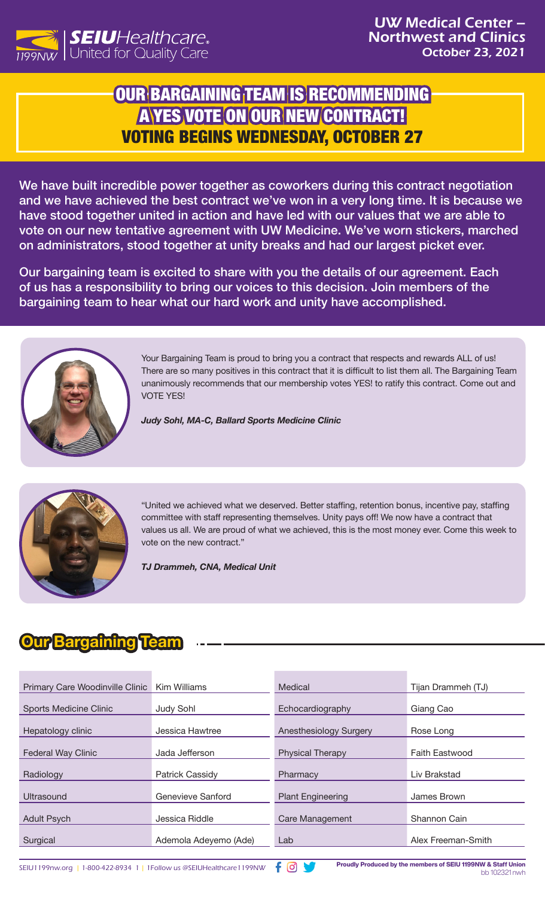

## OUR BARGAINING TEAM IS RECOMMENDING A YES VOTE ON OUR NEW CONTRACT! VOTING BEGINS WEDNESDAY, OCTOBER 27

We have built incredible power together as coworkers during this contract negotiation and we have achieved the best contract we've won in a very long time. It is because we have stood together united in action and have led with our values that we are able to vote on our new tentative agreement with UW Medicine. We've worn stickers, marched on administrators, stood together at unity breaks and had our largest picket ever.

Our bargaining team is excited to share with you the details of our agreement. Each of us has a responsibility to bring our voices to this decision. Join members of the bargaining team to hear what our hard work and unity have accomplished.



Your Bargaining Team is proud to bring you a contract that respects and rewards ALL of us! There are so many positives in this contract that it is difficult to list them all. The Bargaining Team unanimously recommends that our membership votes YES! to ratify this contract. Come out and VOTE YES!

*Judy Sohl, MA-C, Ballard Sports Medicine Clinic* 



"United we achieved what we deserved. Better staffing, retention bonus, incentive pay, staffing committee with staff representing themselves. Unity pays off! We now have a contract that values us all. We are proud of what we achieved, this is the most money ever. Come this week to vote on the new contract."

*TJ Drammeh, CNA, Medical Unit* 

## **Our Bargaining Team**

| Primary Care Woodinville Clinic | Kim Williams          | Medical                  | Tijan Drammeh (TJ)    |
|---------------------------------|-----------------------|--------------------------|-----------------------|
| <b>Sports Medicine Clinic</b>   | <b>Judy Sohl</b>      | Echocardiography         | Giang Cao             |
| Hepatology clinic               | Jessica Hawtree       | Anesthesiology Surgery   | Rose Long             |
| <b>Federal Way Clinic</b>       | Jada Jefferson        | <b>Physical Therapy</b>  | <b>Faith Eastwood</b> |
| Radiology                       | Patrick Cassidy       | Pharmacy                 | Liv Brakstad          |
| Ultrasound                      | Genevieve Sanford     | <b>Plant Engineering</b> | James Brown           |
| <b>Adult Psych</b>              | Jessica Riddle        | Care Management          | Shannon Cain          |
| Surgical                        | Ademola Adeyemo (Ade) | Lab                      | Alex Freeman-Smith    |